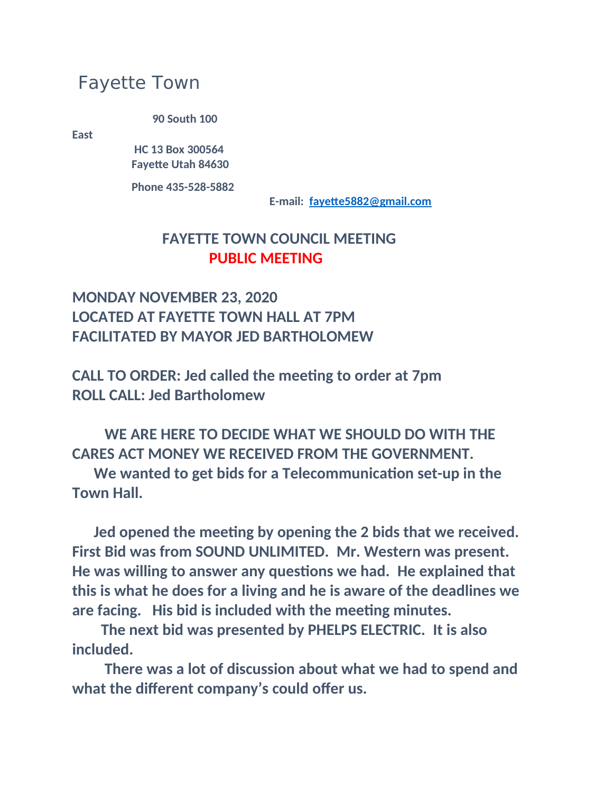## Fayette Town

**90 South 100** 

**East**

 **HC 13 Box 300564 Fayette Utah 84630**

 **Phone 435-528-5882**

 **E-mail: [fayette5882@gmail.com](mailto:fayette5882@gmail.com)**

## **FAYETTE TOWN COUNCIL MEETING PUBLIC MEETING**

**MONDAY NOVEMBER 23, 2020 LOCATED AT FAYETTE TOWN HALL AT 7PM FACILITATED BY MAYOR JED BARTHOLOMEW**

**CALL TO ORDER: Jed called the meeting to order at 7pm ROLL CALL: Jed Bartholomew**

 **WE ARE HERE TO DECIDE WHAT WE SHOULD DO WITH THE CARES ACT MONEY WE RECEIVED FROM THE GOVERNMENT.**

 **We wanted to get bids for a Telecommunication set-up in the Town Hall.**

 **Jed opened the meeting by opening the 2 bids that we received. First Bid was from SOUND UNLIMITED. Mr. Western was present. He was willing to answer any questions we had. He explained that this is what he does for a living and he is aware of the deadlines we are facing. His bid is included with the meeting minutes.**

 **The next bid was presented by PHELPS ELECTRIC. It is also included.**

 **There was a lot of discussion about what we had to spend and what the different company's could offer us.**